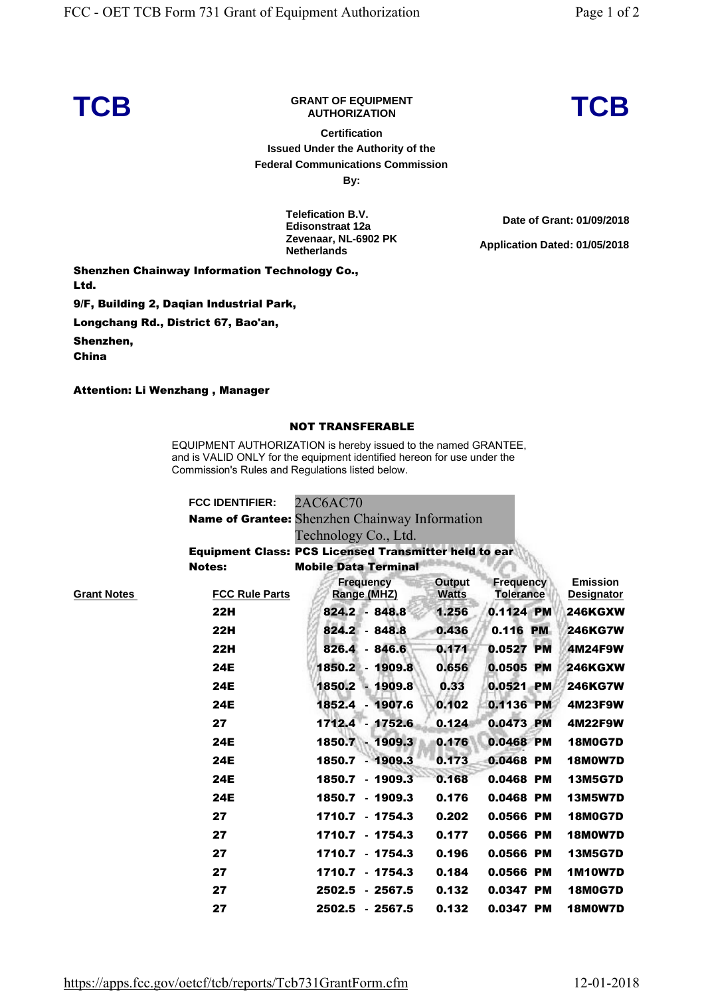## **TCB GRANT OF EQUIPMENT**

**Certification Issued Under the Authority of the Federal Communications Commission**

**By:**

**Telefication B.V. Edisonstraat 12a Zevenaar, NL-6902 PK Netherlands** 

**Shenzhen Chainway Information Technology Co., Ltd. 9/F, Building 2, Daqian Industrial Park, Longchang Rd., District 67, Bao'an, Shenzhen,** 

**Attention: Li Wenzhang , Manager**

**China**

## **NOT TRANSFERABLE**

EQUIPMENT AUTHORIZATION is hereby issued to the named GRANTEE, and is VALID ONLY for the equipment identified hereon for use under the Commission's Rules and Regulations listed below.

|                    | <b>FCC IDENTIFIER:</b> | 2AC6AC70                                                     |                        |                                      |                                      |  |  |  |  |
|--------------------|------------------------|--------------------------------------------------------------|------------------------|--------------------------------------|--------------------------------------|--|--|--|--|
|                    |                        | Name of Grantee: Shenzhen Chainway Information               |                        |                                      |                                      |  |  |  |  |
|                    | Technology Co., Ltd.   |                                                              |                        |                                      |                                      |  |  |  |  |
|                    |                        | <b>Equipment Class: PCS Licensed Transmitter held to ear</b> |                        |                                      |                                      |  |  |  |  |
|                    | <b>Notes:</b>          | <b>Mobile Data Terminal</b>                                  |                        |                                      |                                      |  |  |  |  |
| <b>Grant Notes</b> | <b>FCC Rule Parts</b>  | <b>Frequency</b><br>Range (MHZ)                              | Output<br><b>Watts</b> | <b>Frequency</b><br><b>Tolerance</b> | <b>Emission</b><br><b>Designator</b> |  |  |  |  |
|                    | <b>22H</b>             | 824.2 - 848.8                                                | 1.256                  | 0.1124 PM                            | <b>246KGXW</b>                       |  |  |  |  |
|                    | <b>22H</b>             | $824.2 - 848.8$                                              | 0.436                  | 0.116 PM                             | <b>246KG7W</b>                       |  |  |  |  |
|                    | <b>22H</b>             | 826.4 - 846.6                                                | 0.171                  | 0.0527 PM                            | 4M24F9W                              |  |  |  |  |
|                    | <b>24E</b>             | 1850.2<br>$-1909.8$                                          | 0.656                  | 0.0505 PM                            | <b>246KGXW</b>                       |  |  |  |  |
|                    | <b>24E</b>             | 1850.2 - 1909.8                                              | 0.33                   | 0.0521 PM                            | <b>246KG7W</b>                       |  |  |  |  |
|                    | <b>24E</b>             | 1852.4 - 1907.6                                              | 0.102                  | 0.1136 PM                            | 4M23F9W                              |  |  |  |  |
|                    | 27                     | 1712.4 - 1752.6                                              | 0.124                  | 0.0473 PM                            | <b>4M22F9W</b>                       |  |  |  |  |
|                    | <b>24E</b>             | 1850.7 - 1909.3                                              | 0.176                  | 0.0468 PM                            | <b>18M0G7D</b>                       |  |  |  |  |
|                    | <b>24E</b>             | 1850.7 - 1909.3                                              | 0.173                  | 0.0468 PM                            | <b>18M0W7D</b>                       |  |  |  |  |
|                    | <b>24E</b>             | 1850.7 - 1909.3                                              | 0.168                  | 0.0468 PM                            | <b>13M5G7D</b>                       |  |  |  |  |
|                    | <b>24E</b>             | 1850.7 - 1909.3                                              | 0.176                  | 0.0468 PM                            | <b>13M5W7D</b>                       |  |  |  |  |
|                    | 27                     | 1710.7 - 1754.3                                              | 0.202                  | 0.0566 PM                            | <b>18M0G7D</b>                       |  |  |  |  |
|                    | 27                     | 1710.7 - 1754.3                                              | 0.177                  | 0.0566 PM                            | <b>18M0W7D</b>                       |  |  |  |  |
|                    | 27                     | 1710.7 - 1754.3                                              | 0.196                  | 0.0566 PM                            | <b>13M5G7D</b>                       |  |  |  |  |
|                    | 27                     | 1710.7 - 1754.3                                              | 0.184                  | 0.0566 PM                            | <b>1M10W7D</b>                       |  |  |  |  |
|                    | 27                     | 2502.5 - 2567.5                                              | 0.132                  | 0.0347 PM                            | <b>18M0G7D</b>                       |  |  |  |  |
|                    | 27                     | 2502.5 - 2567.5                                              | 0.132                  | 0.0347 PM                            | <b>18M0W7D</b>                       |  |  |  |  |

**Date of Grant: 01/09/2018 Application Dated: 01/05/2018** 

**AUTHORIZATION TCB**